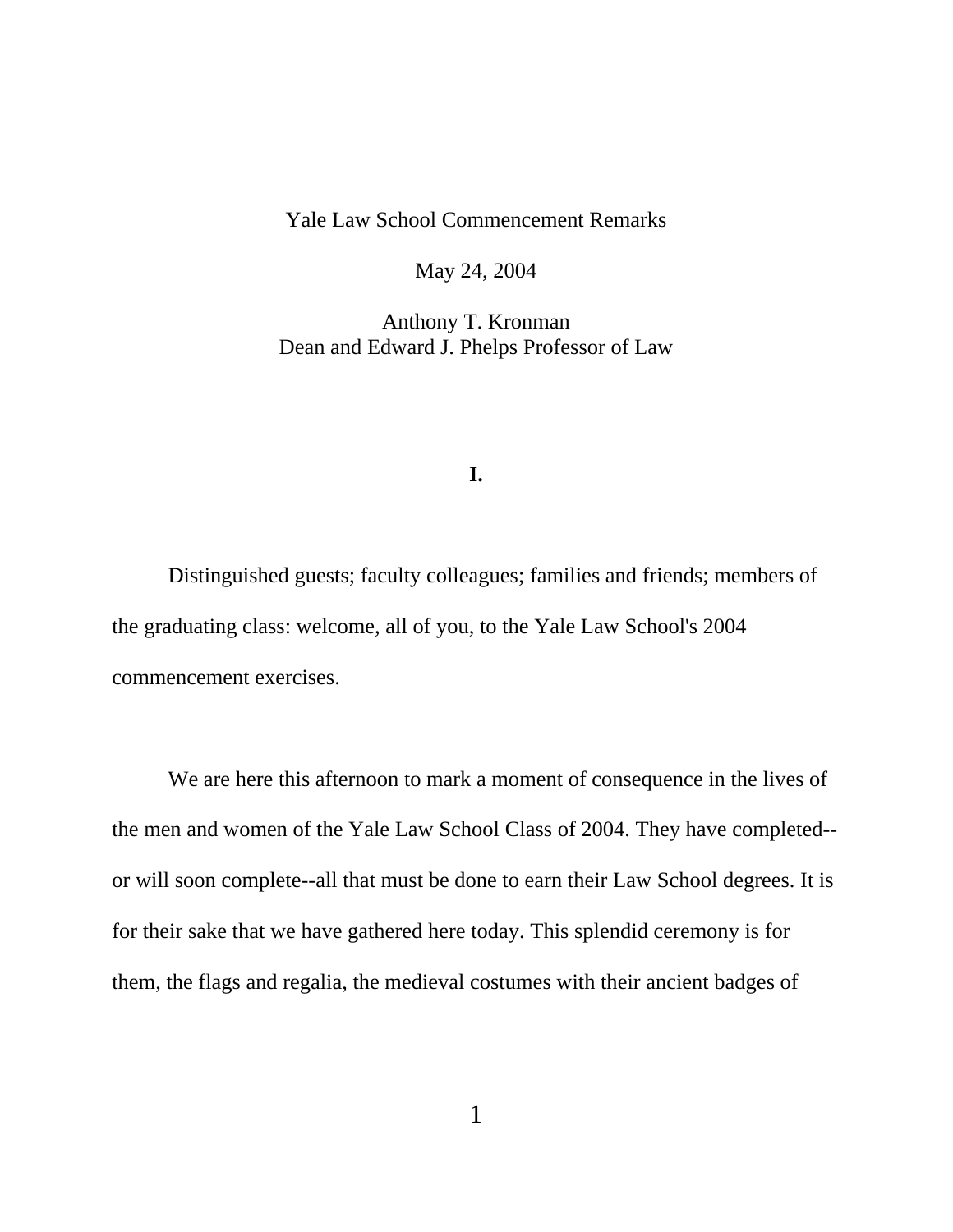## Yale Law School Commencement Remarks

May 24, 2004

Anthony T. Kronman Dean and Edward J. Phelps Professor of Law

## **I.**

Distinguished guests; faculty colleagues; families and friends; members of the graduating class: welcome, all of you, to the Yale Law School's 2004 commencement exercises.

We are here this afternoon to mark a moment of consequence in the lives of the men and women of the Yale Law School Class of 2004. They have completed- or will soon complete--all that must be done to earn their Law School degrees. It is for their sake that we have gathered here today. This splendid ceremony is for them, the flags and regalia, the medieval costumes with their ancient badges of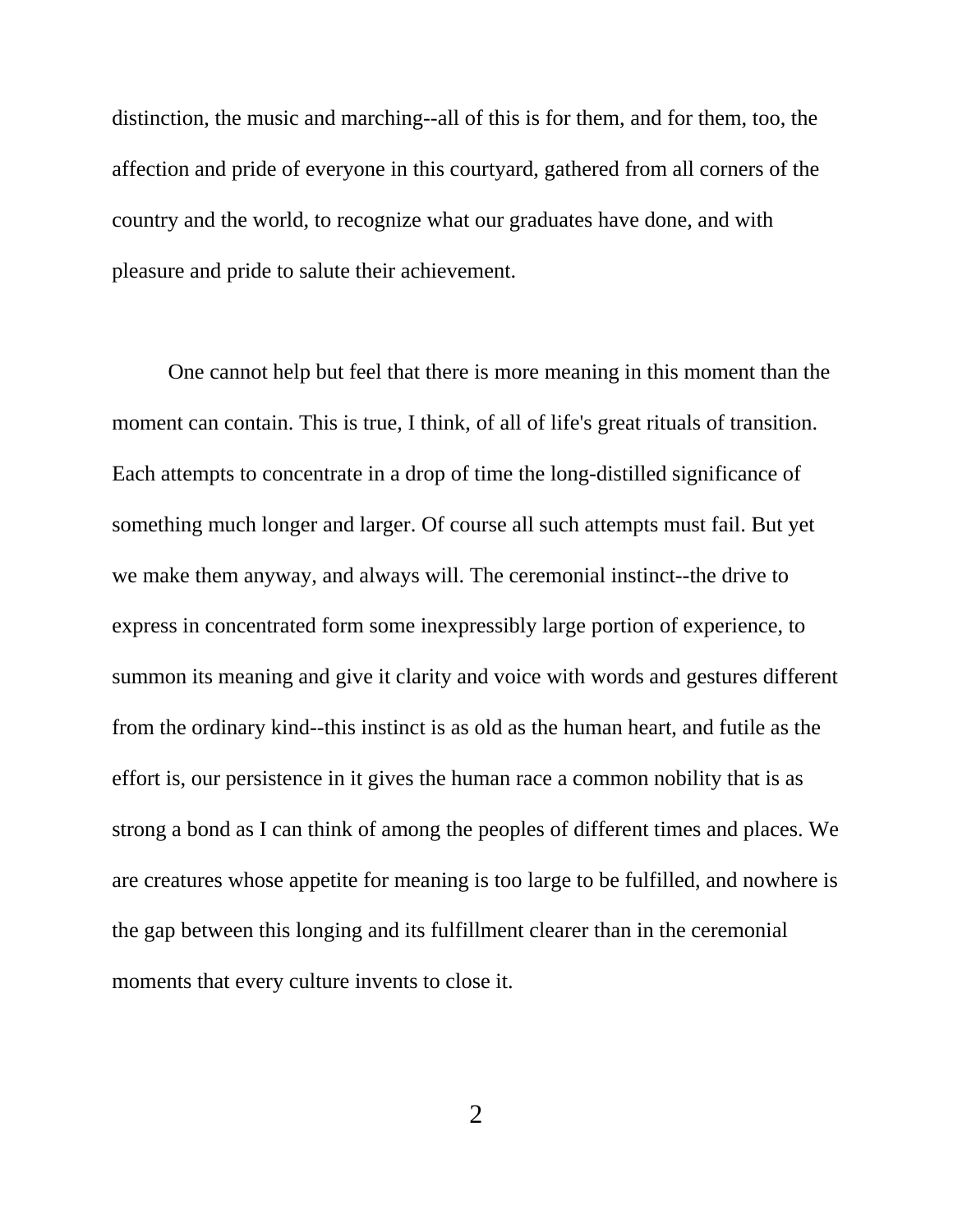distinction, the music and marching--all of this is for them, and for them, too, the affection and pride of everyone in this courtyard, gathered from all corners of the country and the world, to recognize what our graduates have done, and with pleasure and pride to salute their achievement.

One cannot help but feel that there is more meaning in this moment than the moment can contain. This is true, I think, of all of life's great rituals of transition. Each attempts to concentrate in a drop of time the long-distilled significance of something much longer and larger. Of course all such attempts must fail. But yet we make them anyway, and always will. The ceremonial instinct--the drive to express in concentrated form some inexpressibly large portion of experience, to summon its meaning and give it clarity and voice with words and gestures different from the ordinary kind--this instinct is as old as the human heart, and futile as the effort is, our persistence in it gives the human race a common nobility that is as strong a bond as I can think of among the peoples of different times and places. We are creatures whose appetite for meaning is too large to be fulfilled, and nowhere is the gap between this longing and its fulfillment clearer than in the ceremonial moments that every culture invents to close it.

2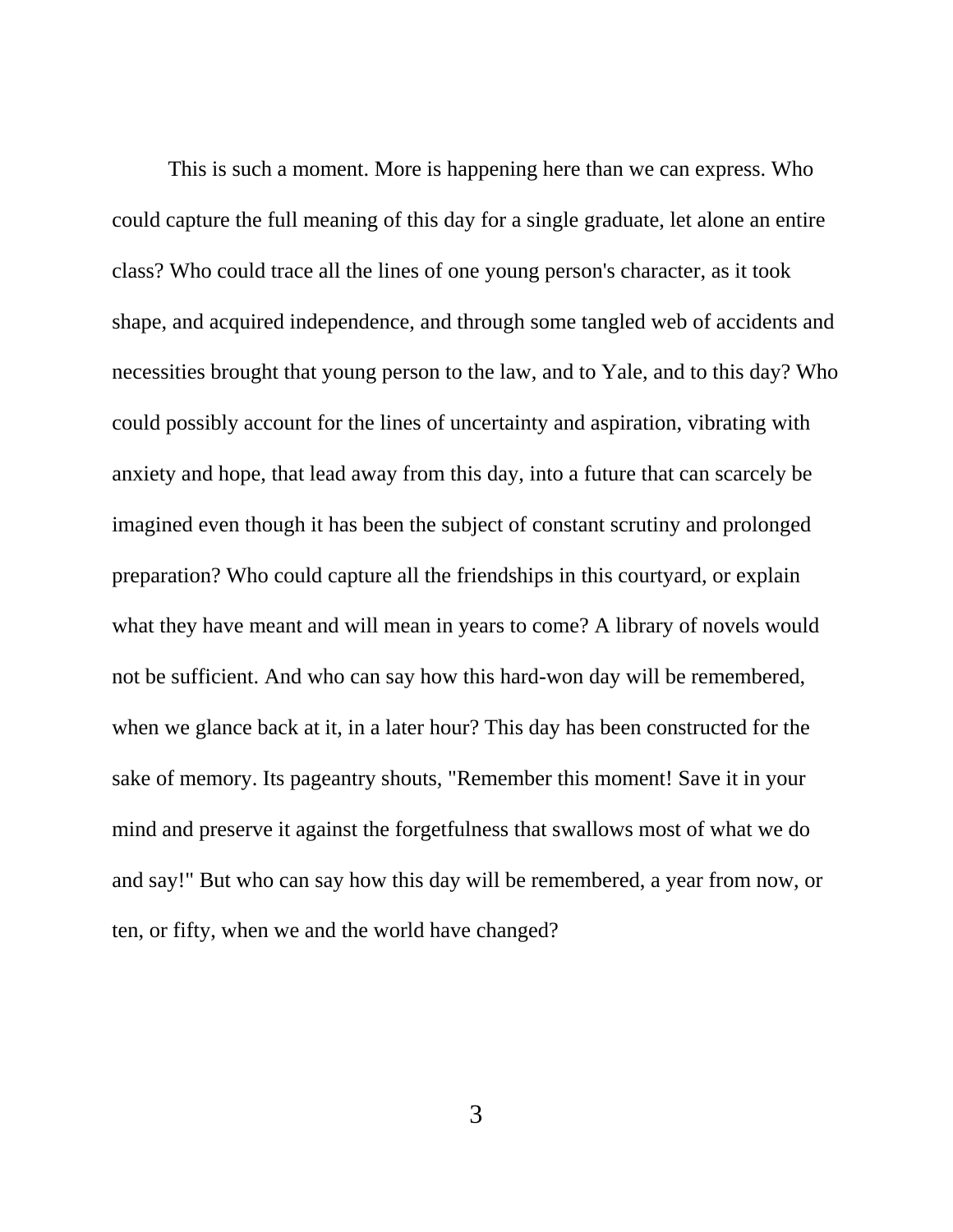This is such a moment. More is happening here than we can express. Who could capture the full meaning of this day for a single graduate, let alone an entire class? Who could trace all the lines of one young person's character, as it took shape, and acquired independence, and through some tangled web of accidents and necessities brought that young person to the law, and to Yale, and to this day? Who could possibly account for the lines of uncertainty and aspiration, vibrating with anxiety and hope, that lead away from this day, into a future that can scarcely be imagined even though it has been the subject of constant scrutiny and prolonged preparation? Who could capture all the friendships in this courtyard, or explain what they have meant and will mean in years to come? A library of novels would not be sufficient. And who can say how this hard-won day will be remembered, when we glance back at it, in a later hour? This day has been constructed for the sake of memory. Its pageantry shouts, "Remember this moment! Save it in your mind and preserve it against the forgetfulness that swallows most of what we do and say!" But who can say how this day will be remembered, a year from now, or ten, or fifty, when we and the world have changed?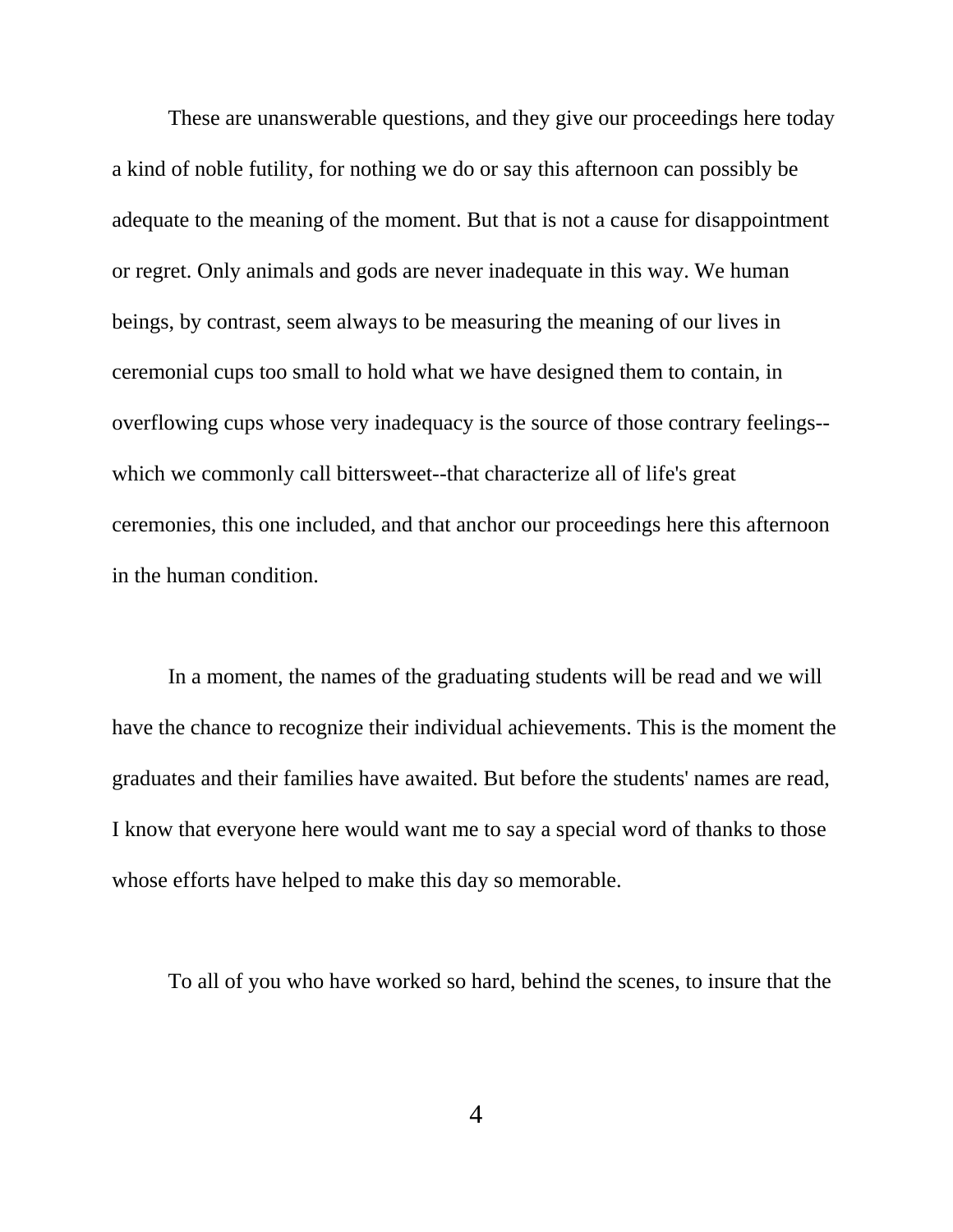These are unanswerable questions, and they give our proceedings here today a kind of noble futility, for nothing we do or say this afternoon can possibly be adequate to the meaning of the moment. But that is not a cause for disappointment or regret. Only animals and gods are never inadequate in this way. We human beings, by contrast, seem always to be measuring the meaning of our lives in ceremonial cups too small to hold what we have designed them to contain, in overflowing cups whose very inadequacy is the source of those contrary feelings- which we commonly call bittersweet--that characterize all of life's great ceremonies, this one included, and that anchor our proceedings here this afternoon in the human condition.

In a moment, the names of the graduating students will be read and we will have the chance to recognize their individual achievements. This is the moment the graduates and their families have awaited. But before the students' names are read, I know that everyone here would want me to say a special word of thanks to those whose efforts have helped to make this day so memorable.

To all of you who have worked so hard, behind the scenes, to insure that the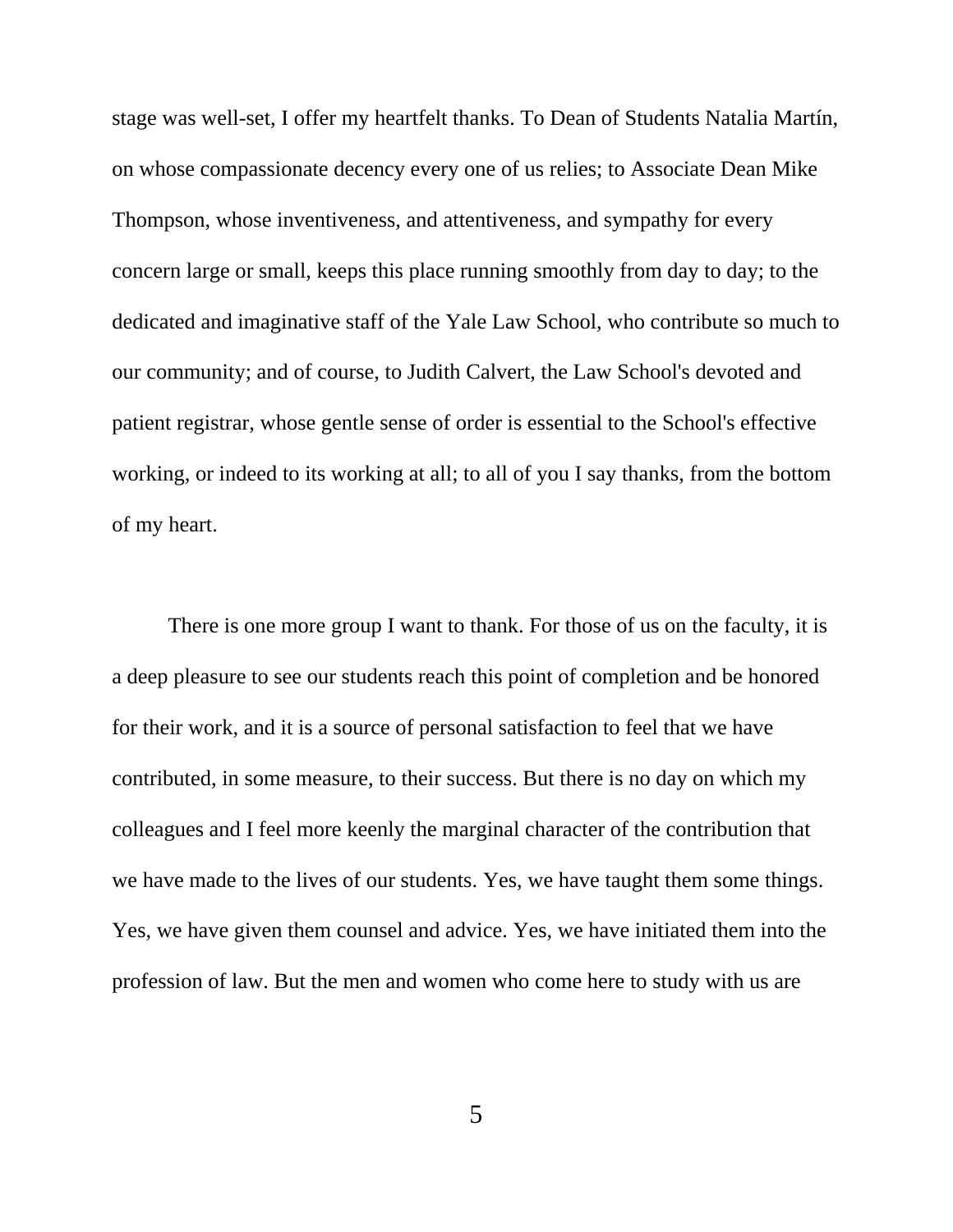stage was well-set, I offer my heartfelt thanks. To Dean of Students Natalia Martín, on whose compassionate decency every one of us relies; to Associate Dean Mike Thompson, whose inventiveness, and attentiveness, and sympathy for every concern large or small, keeps this place running smoothly from day to day; to the dedicated and imaginative staff of the Yale Law School, who contribute so much to our community; and of course, to Judith Calvert, the Law School's devoted and patient registrar, whose gentle sense of order is essential to the School's effective working, or indeed to its working at all; to all of you I say thanks, from the bottom of my heart.

There is one more group I want to thank. For those of us on the faculty, it is a deep pleasure to see our students reach this point of completion and be honored for their work, and it is a source of personal satisfaction to feel that we have contributed, in some measure, to their success. But there is no day on which my colleagues and I feel more keenly the marginal character of the contribution that we have made to the lives of our students. Yes, we have taught them some things. Yes, we have given them counsel and advice. Yes, we have initiated them into the profession of law. But the men and women who come here to study with us are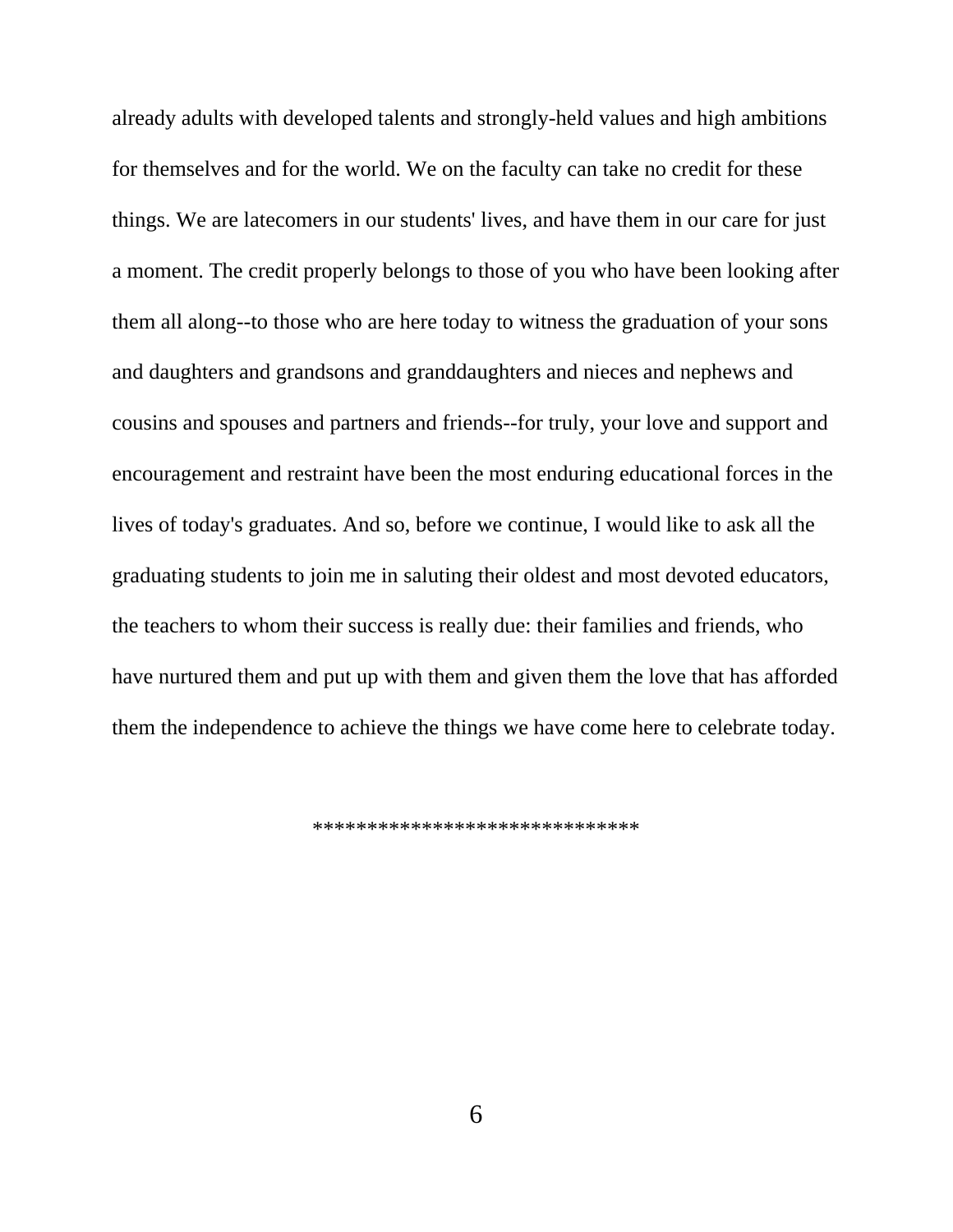already adults with developed talents and strongly-held values and high ambitions for themselves and for the world. We on the faculty can take no credit for these things. We are latecomers in our students' lives, and have them in our care for just a moment. The credit properly belongs to those of you who have been looking after them all along--to those who are here today to witness the graduation of your sons and daughters and grandsons and granddaughters and nieces and nephews and cousins and spouses and partners and friends--for truly, your love and support and encouragement and restraint have been the most enduring educational forces in the lives of today's graduates. And so, before we continue, I would like to ask all the graduating students to join me in saluting their oldest and most devoted educators, the teachers to whom their success is really due: their families and friends, who have nurtured them and put up with them and given them the love that has afforded them the independence to achieve the things we have come here to celebrate today.

\*\*\*\*\*\*\*\*\*\*\*\*\*\*\*\*\*\*\*\*\*\*\*\*\*\*\*\*\*\*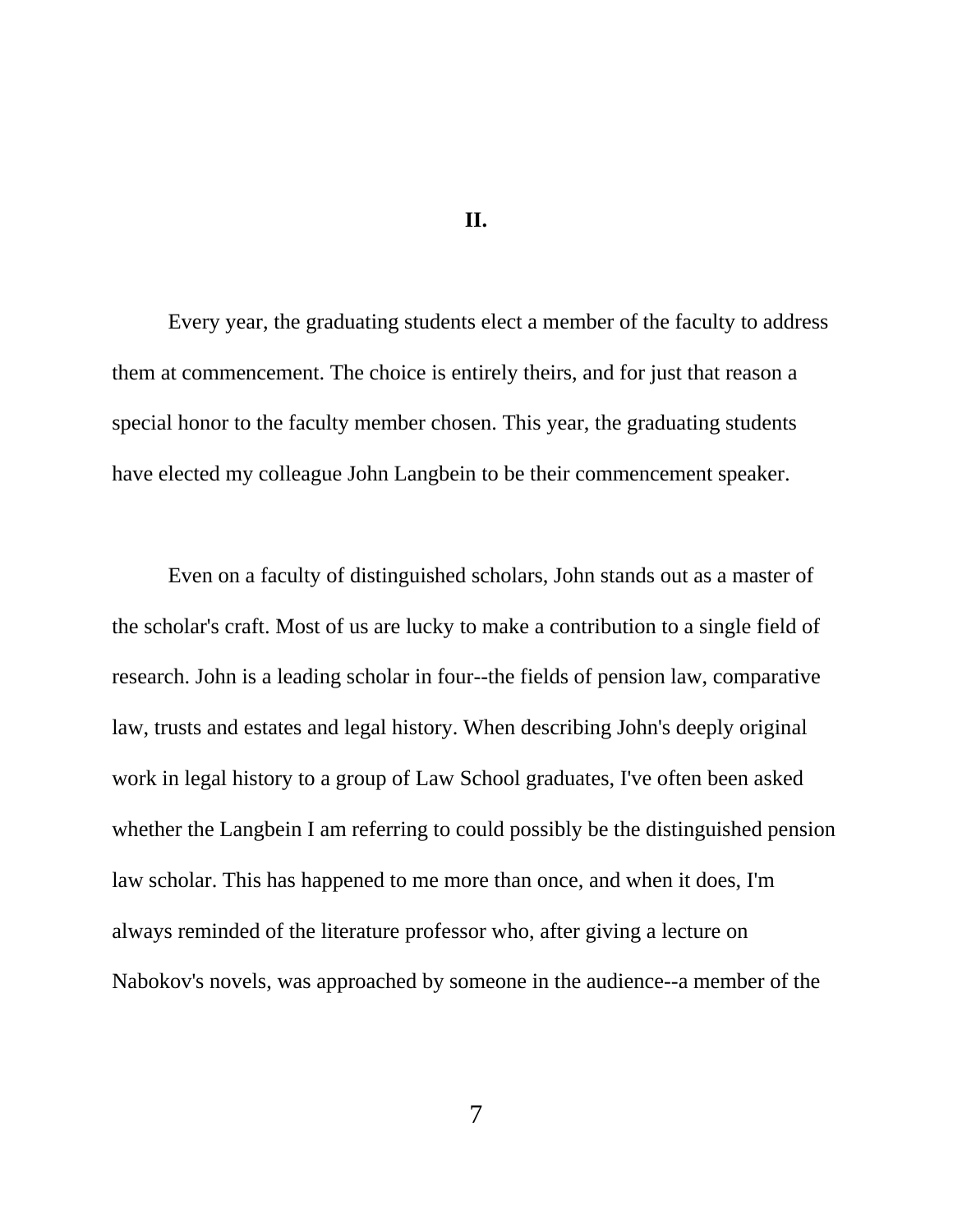## **II.**

Every year, the graduating students elect a member of the faculty to address them at commencement. The choice is entirely theirs, and for just that reason a special honor to the faculty member chosen. This year, the graduating students have elected my colleague John Langbein to be their commencement speaker.

Even on a faculty of distinguished scholars, John stands out as a master of the scholar's craft. Most of us are lucky to make a contribution to a single field of research. John is a leading scholar in four--the fields of pension law, comparative law, trusts and estates and legal history. When describing John's deeply original work in legal history to a group of Law School graduates, I've often been asked whether the Langbein I am referring to could possibly be the distinguished pension law scholar. This has happened to me more than once, and when it does, I'm always reminded of the literature professor who, after giving a lecture on Nabokov's novels, was approached by someone in the audience--a member of the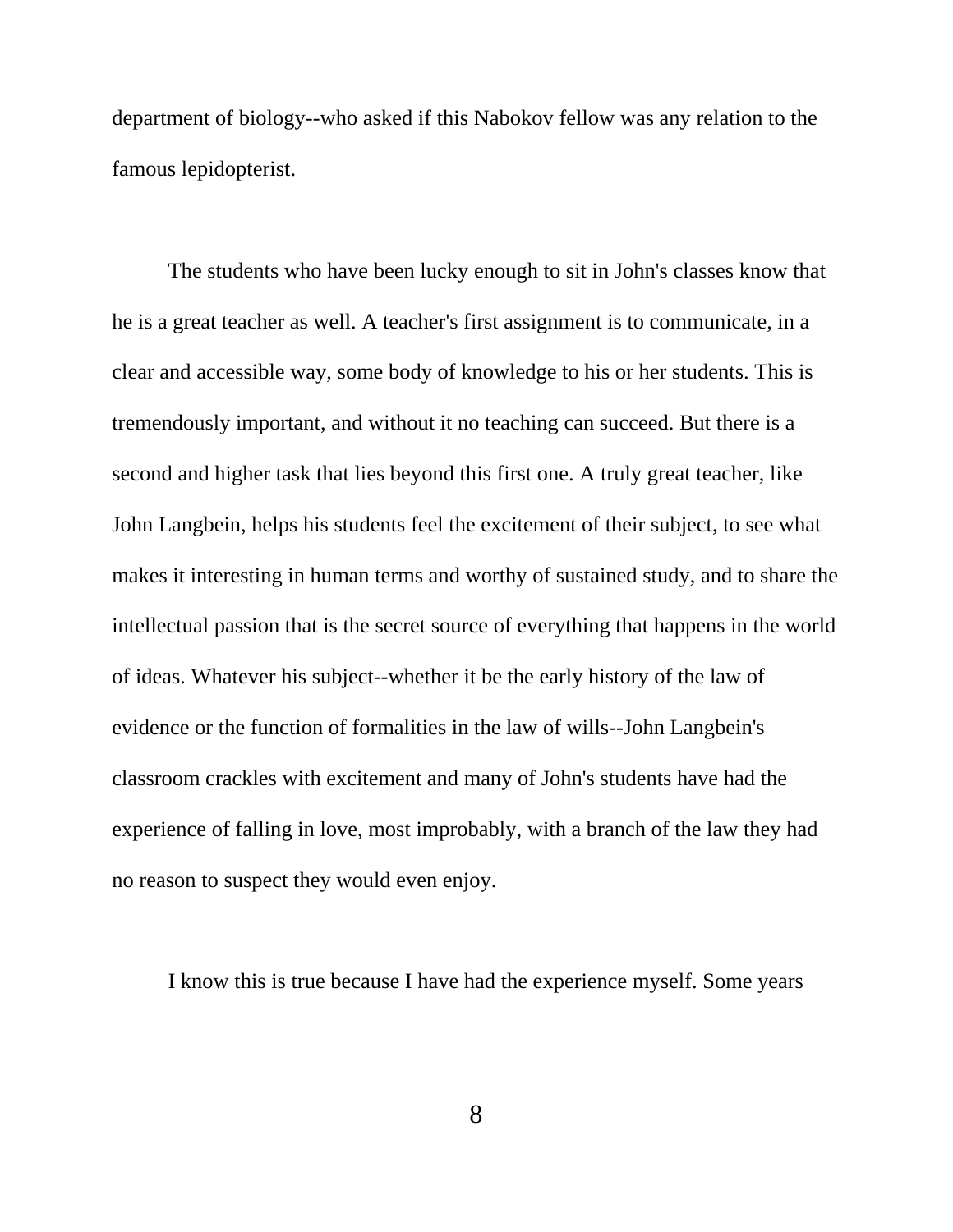department of biology--who asked if this Nabokov fellow was any relation to the famous lepidopterist.

The students who have been lucky enough to sit in John's classes know that he is a great teacher as well. A teacher's first assignment is to communicate, in a clear and accessible way, some body of knowledge to his or her students. This is tremendously important, and without it no teaching can succeed. But there is a second and higher task that lies beyond this first one. A truly great teacher, like John Langbein, helps his students feel the excitement of their subject, to see what makes it interesting in human terms and worthy of sustained study, and to share the intellectual passion that is the secret source of everything that happens in the world of ideas. Whatever his subject--whether it be the early history of the law of evidence or the function of formalities in the law of wills--John Langbein's classroom crackles with excitement and many of John's students have had the experience of falling in love, most improbably, with a branch of the law they had no reason to suspect they would even enjoy.

I know this is true because I have had the experience myself. Some years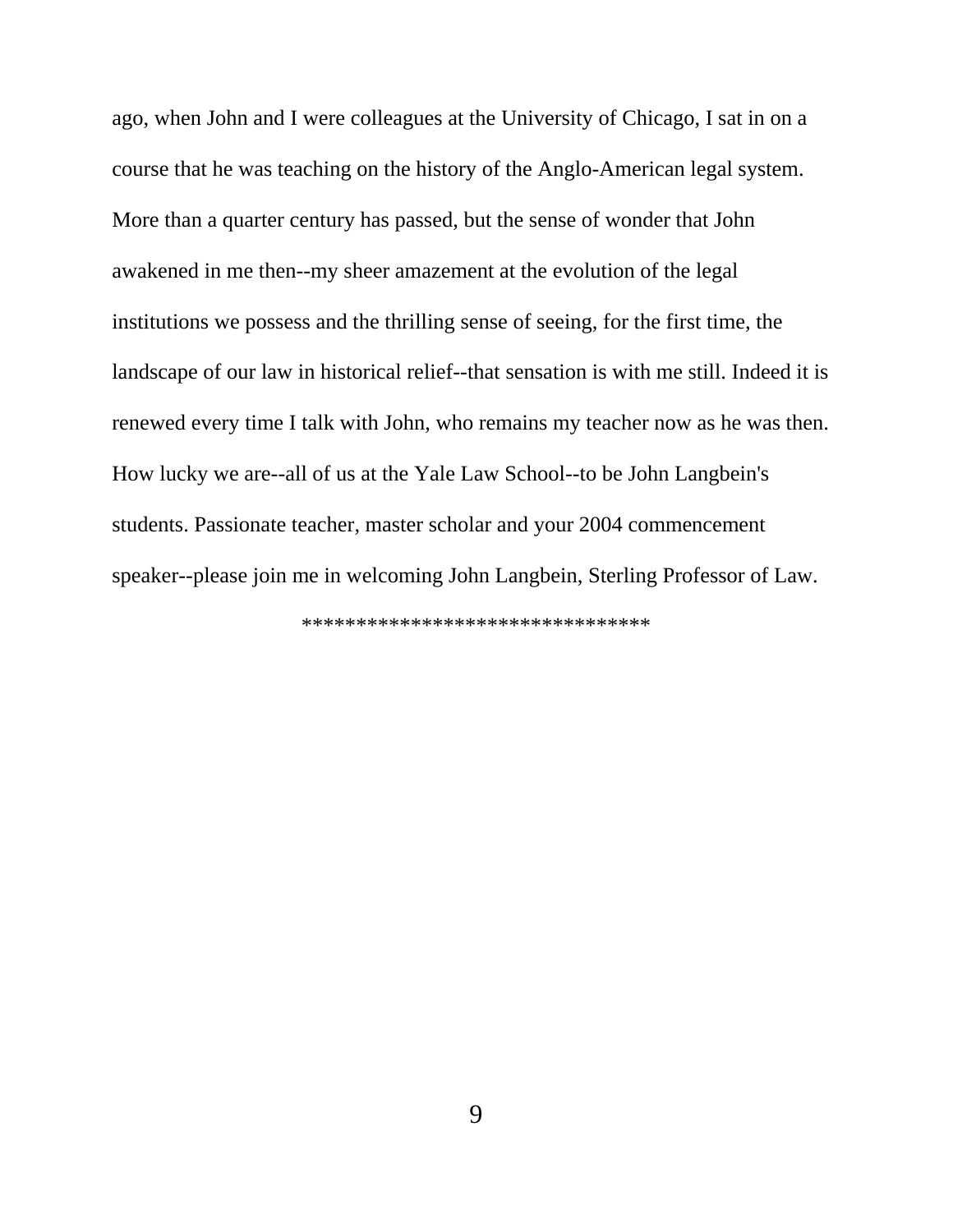ago, when John and I were colleagues at the University of Chicago, I sat in on a course that he was teaching on the history of the Anglo-American legal system. More than a quarter century has passed, but the sense of wonder that John awakened in me then--my sheer amazement at the evolution of the legal institutions we possess and the thrilling sense of seeing, for the first time, the landscape of our law in historical relief--that sensation is with me still. Indeed it is renewed every time I talk with John, who remains my teacher now as he was then. How lucky we are--all of us at the Yale Law School--to be John Langbein's students. Passionate teacher, master scholar and your 2004 commencement speaker--please join me in welcoming John Langbein, Sterling Professor of Law.

\*\*\*\*\*\*\*\*\*\*\*\*\*\*\*\*\*\*\*\*\*\*\*\*\*\*\*\*\*\*\*\*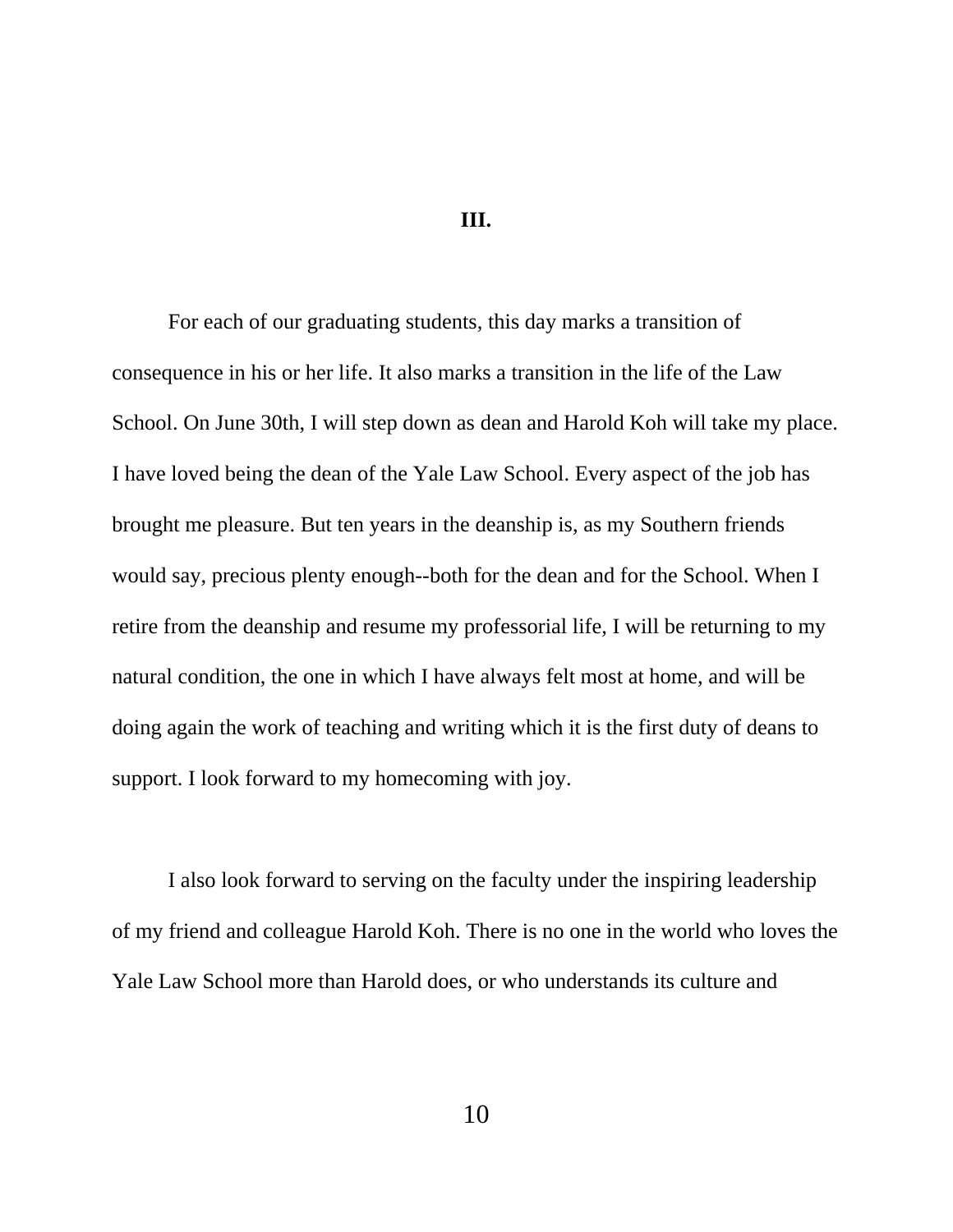## **III.**

For each of our graduating students, this day marks a transition of consequence in his or her life. It also marks a transition in the life of the Law School. On June 30th, I will step down as dean and Harold Koh will take my place. I have loved being the dean of the Yale Law School. Every aspect of the job has brought me pleasure. But ten years in the deanship is, as my Southern friends would say, precious plenty enough--both for the dean and for the School. When I retire from the deanship and resume my professorial life, I will be returning to my natural condition, the one in which I have always felt most at home, and will be doing again the work of teaching and writing which it is the first duty of deans to support. I look forward to my homecoming with joy.

I also look forward to serving on the faculty under the inspiring leadership of my friend and colleague Harold Koh. There is no one in the world who loves the Yale Law School more than Harold does, or who understands its culture and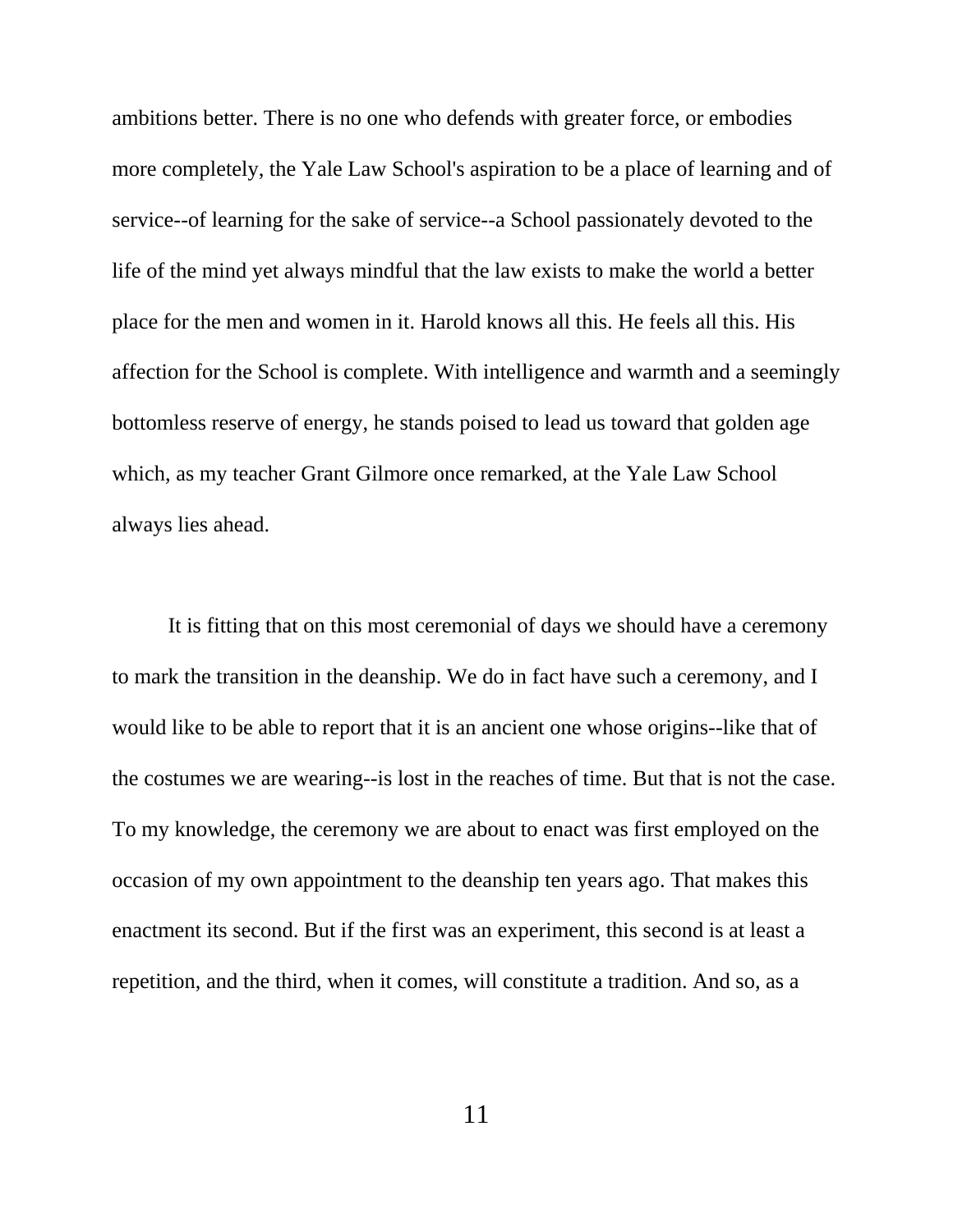ambitions better. There is no one who defends with greater force, or embodies more completely, the Yale Law School's aspiration to be a place of learning and of service--of learning for the sake of service--a School passionately devoted to the life of the mind yet always mindful that the law exists to make the world a better place for the men and women in it. Harold knows all this. He feels all this. His affection for the School is complete. With intelligence and warmth and a seemingly bottomless reserve of energy, he stands poised to lead us toward that golden age which, as my teacher Grant Gilmore once remarked, at the Yale Law School always lies ahead.

It is fitting that on this most ceremonial of days we should have a ceremony to mark the transition in the deanship. We do in fact have such a ceremony, and I would like to be able to report that it is an ancient one whose origins--like that of the costumes we are wearing--is lost in the reaches of time. But that is not the case. To my knowledge, the ceremony we are about to enact was first employed on the occasion of my own appointment to the deanship ten years ago. That makes this enactment its second. But if the first was an experiment, this second is at least a repetition, and the third, when it comes, will constitute a tradition. And so, as a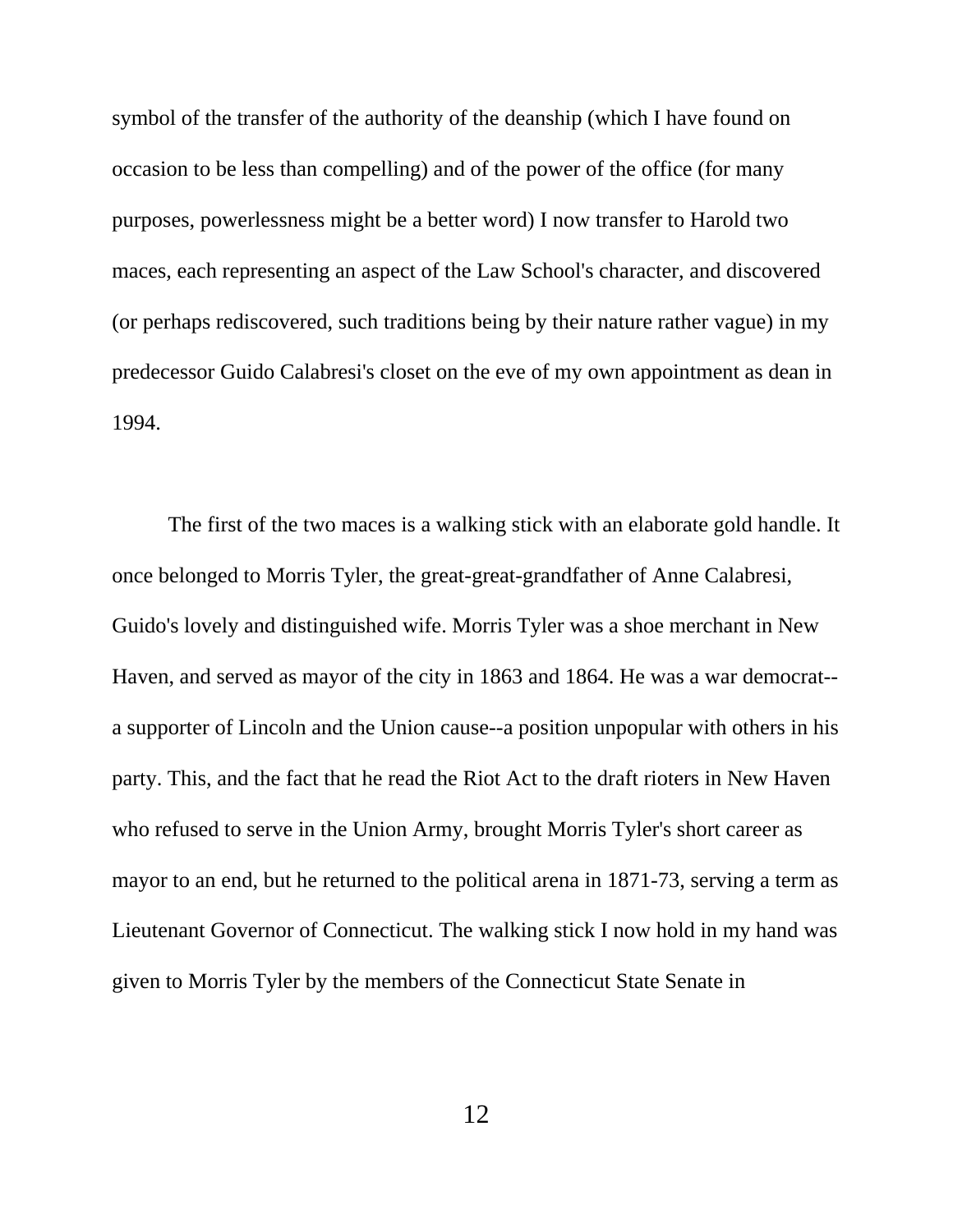symbol of the transfer of the authority of the deanship (which I have found on occasion to be less than compelling) and of the power of the office (for many purposes, powerlessness might be a better word) I now transfer to Harold two maces, each representing an aspect of the Law School's character, and discovered (or perhaps rediscovered, such traditions being by their nature rather vague) in my predecessor Guido Calabresi's closet on the eve of my own appointment as dean in 1994.

The first of the two maces is a walking stick with an elaborate gold handle. It once belonged to Morris Tyler, the great-great-grandfather of Anne Calabresi, Guido's lovely and distinguished wife. Morris Tyler was a shoe merchant in New Haven, and served as mayor of the city in 1863 and 1864. He was a war democrat- a supporter of Lincoln and the Union cause--a position unpopular with others in his party. This, and the fact that he read the Riot Act to the draft rioters in New Haven who refused to serve in the Union Army, brought Morris Tyler's short career as mayor to an end, but he returned to the political arena in 1871-73, serving a term as Lieutenant Governor of Connecticut. The walking stick I now hold in my hand was given to Morris Tyler by the members of the Connecticut State Senate in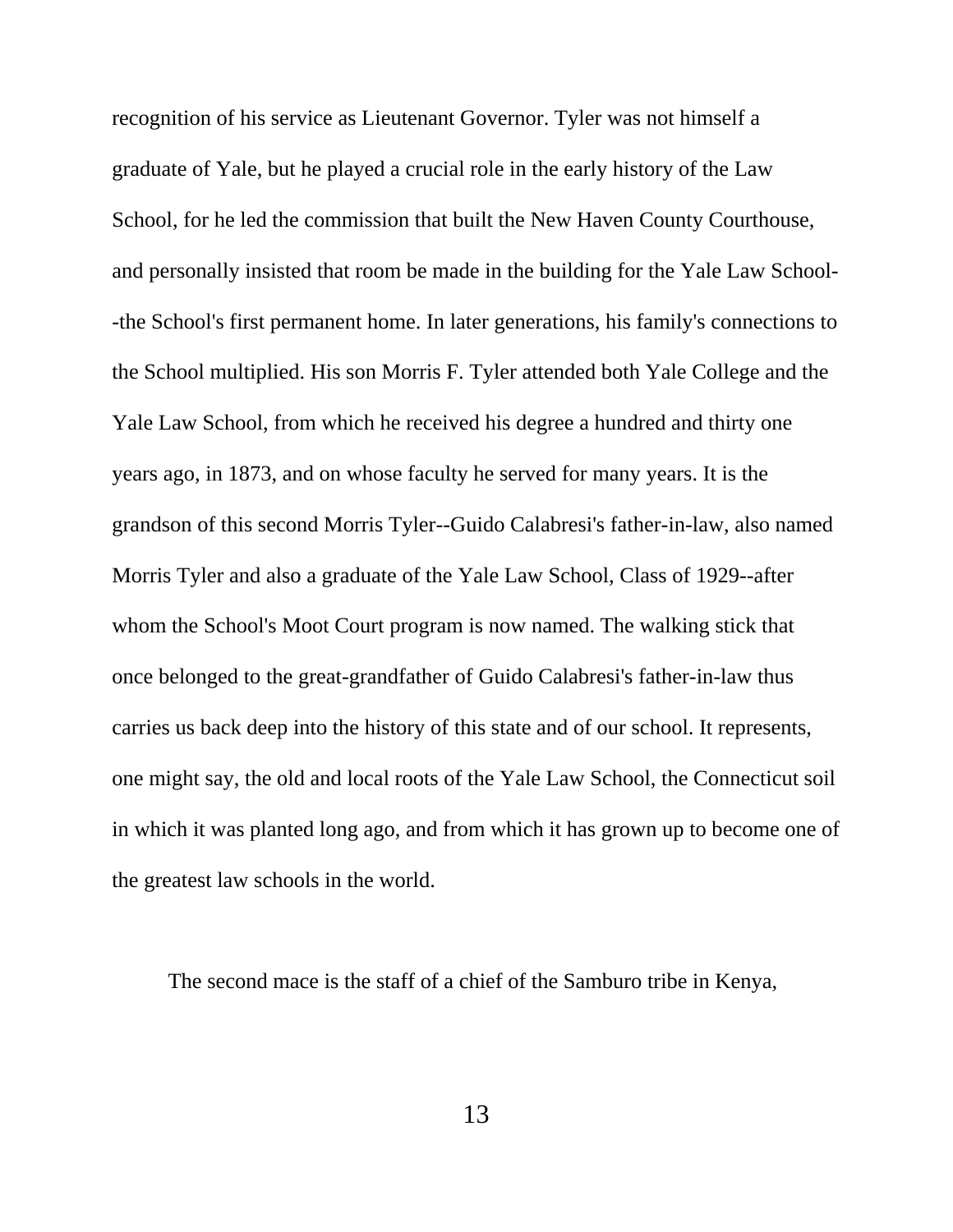recognition of his service as Lieutenant Governor. Tyler was not himself a graduate of Yale, but he played a crucial role in the early history of the Law School, for he led the commission that built the New Haven County Courthouse, and personally insisted that room be made in the building for the Yale Law School- -the School's first permanent home. In later generations, his family's connections to the School multiplied. His son Morris F. Tyler attended both Yale College and the Yale Law School, from which he received his degree a hundred and thirty one years ago, in 1873, and on whose faculty he served for many years. It is the grandson of this second Morris Tyler--Guido Calabresi's father-in-law, also named Morris Tyler and also a graduate of the Yale Law School, Class of 1929--after whom the School's Moot Court program is now named. The walking stick that once belonged to the great-grandfather of Guido Calabresi's father-in-law thus carries us back deep into the history of this state and of our school. It represents, one might say, the old and local roots of the Yale Law School, the Connecticut soil in which it was planted long ago, and from which it has grown up to become one of the greatest law schools in the world.

The second mace is the staff of a chief of the Samburo tribe in Kenya,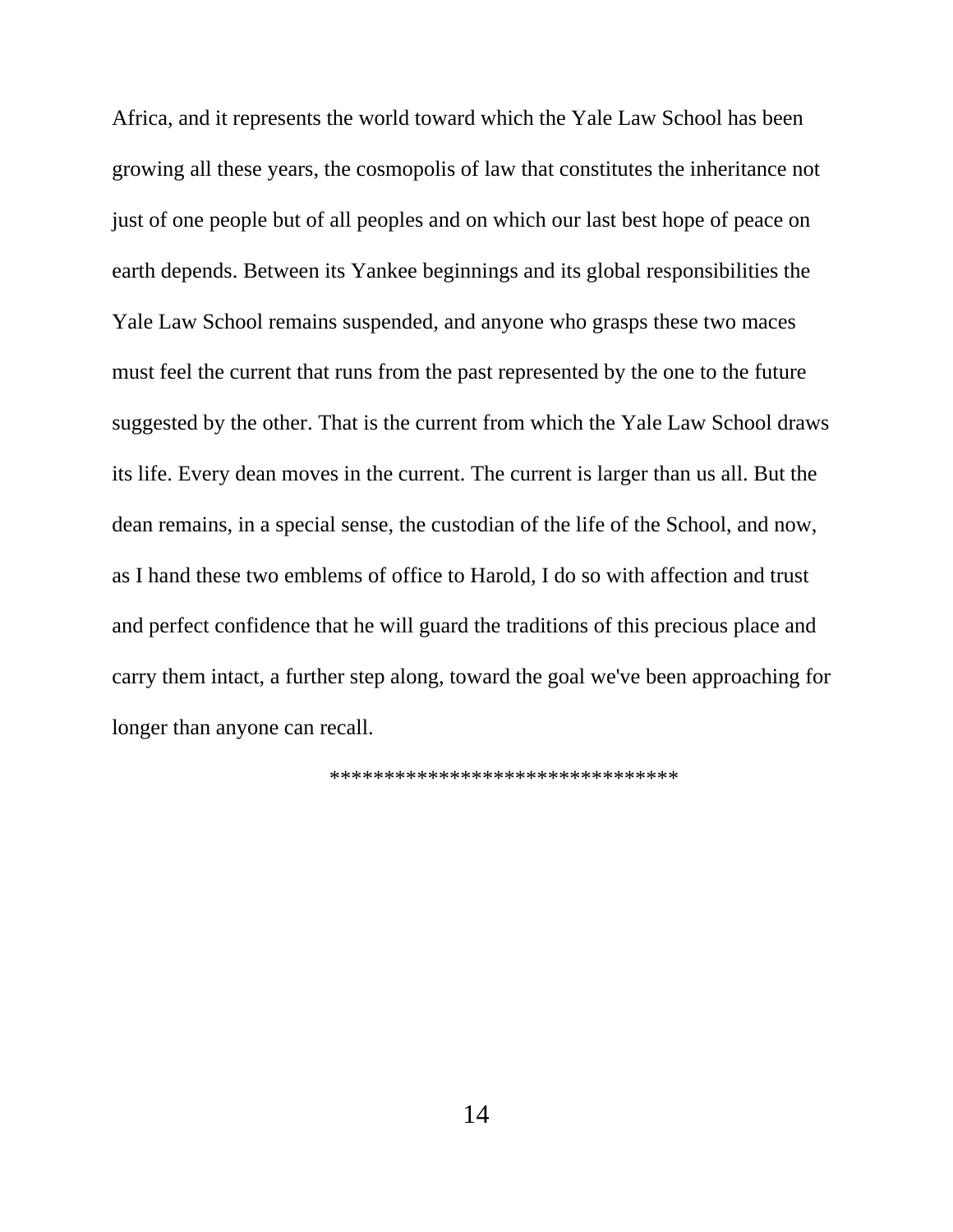Africa, and it represents the world toward which the Yale Law School has been growing all these years, the cosmopolis of law that constitutes the inheritance not just of one people but of all peoples and on which our last best hope of peace on earth depends. Between its Yankee beginnings and its global responsibilities the Yale Law School remains suspended, and anyone who grasps these two maces must feel the current that runs from the past represented by the one to the future suggested by the other. That is the current from which the Yale Law School draws its life. Every dean moves in the current. The current is larger than us all. But the dean remains, in a special sense, the custodian of the life of the School, and now, as I hand these two emblems of office to Harold, I do so with affection and trust and perfect confidence that he will guard the traditions of this precious place and carry them intact, a further step along, toward the goal we've been approaching for longer than anyone can recall.

\*\*\*\*\*\*\*\*\*\*\*\*\*\*\*\*\*\*\*\*\*\*\*\*\*\*\*\*\*\*\*\*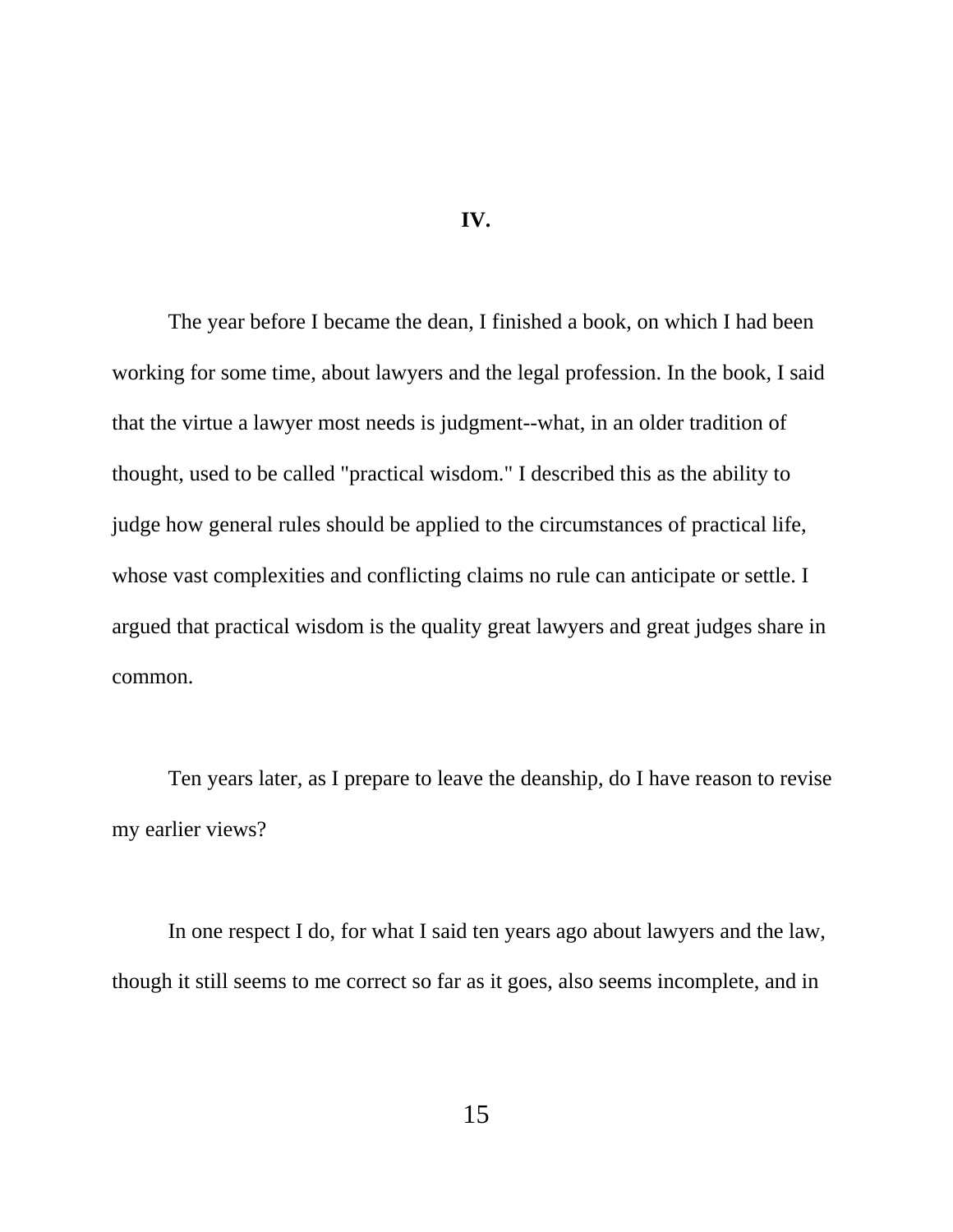**IV.**

The year before I became the dean, I finished a book, on which I had been working for some time, about lawyers and the legal profession. In the book, I said that the virtue a lawyer most needs is judgment--what, in an older tradition of thought, used to be called "practical wisdom." I described this as the ability to judge how general rules should be applied to the circumstances of practical life, whose vast complexities and conflicting claims no rule can anticipate or settle. I argued that practical wisdom is the quality great lawyers and great judges share in common.

Ten years later, as I prepare to leave the deanship, do I have reason to revise my earlier views?

In one respect I do, for what I said ten years ago about lawyers and the law, though it still seems to me correct so far as it goes, also seems incomplete, and in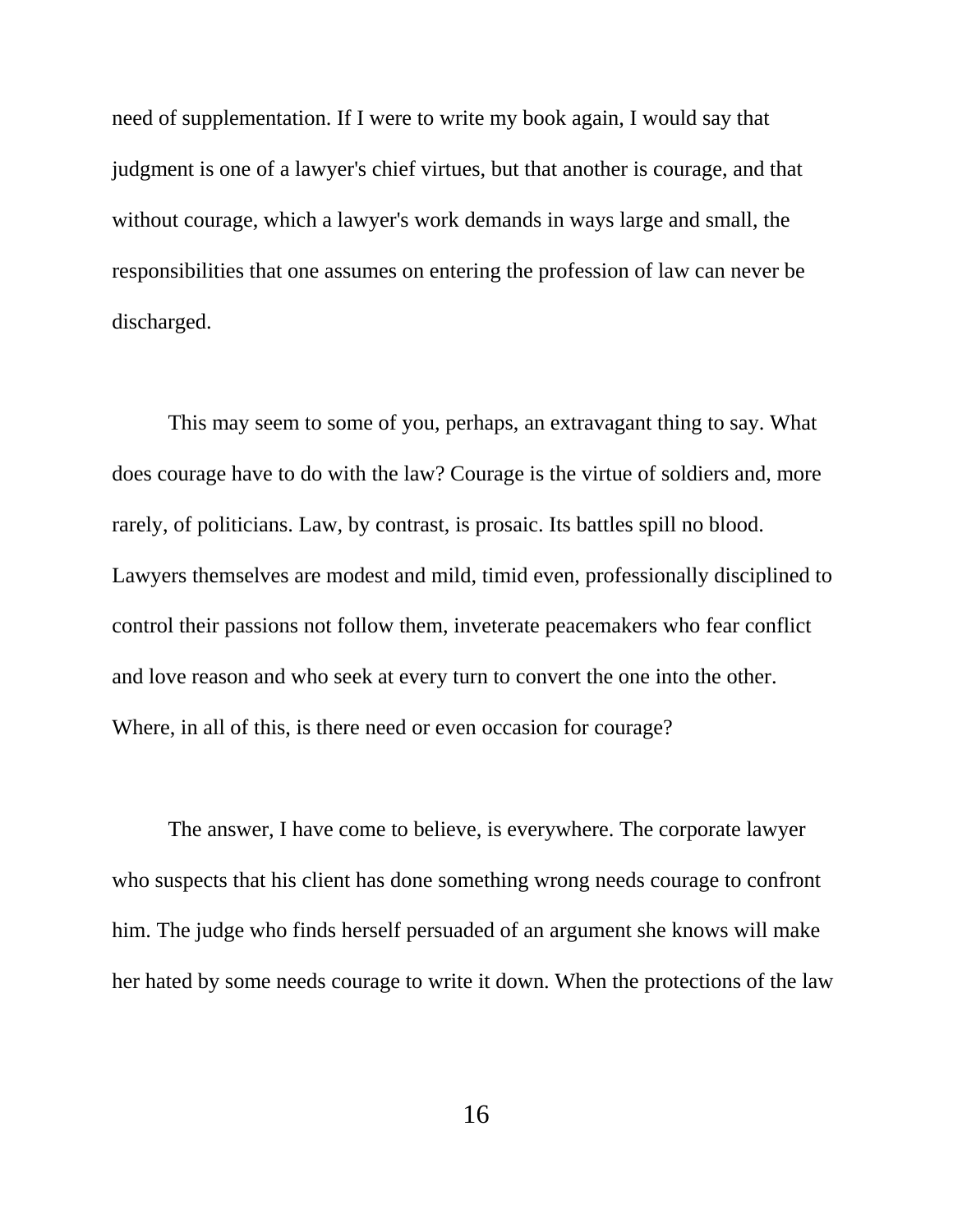need of supplementation. If I were to write my book again, I would say that judgment is one of a lawyer's chief virtues, but that another is courage, and that without courage, which a lawyer's work demands in ways large and small, the responsibilities that one assumes on entering the profession of law can never be discharged.

This may seem to some of you, perhaps, an extravagant thing to say. What does courage have to do with the law? Courage is the virtue of soldiers and, more rarely, of politicians. Law, by contrast, is prosaic. Its battles spill no blood. Lawyers themselves are modest and mild, timid even, professionally disciplined to control their passions not follow them, inveterate peacemakers who fear conflict and love reason and who seek at every turn to convert the one into the other. Where, in all of this, is there need or even occasion for courage?

The answer, I have come to believe, is everywhere. The corporate lawyer who suspects that his client has done something wrong needs courage to confront him. The judge who finds herself persuaded of an argument she knows will make her hated by some needs courage to write it down. When the protections of the law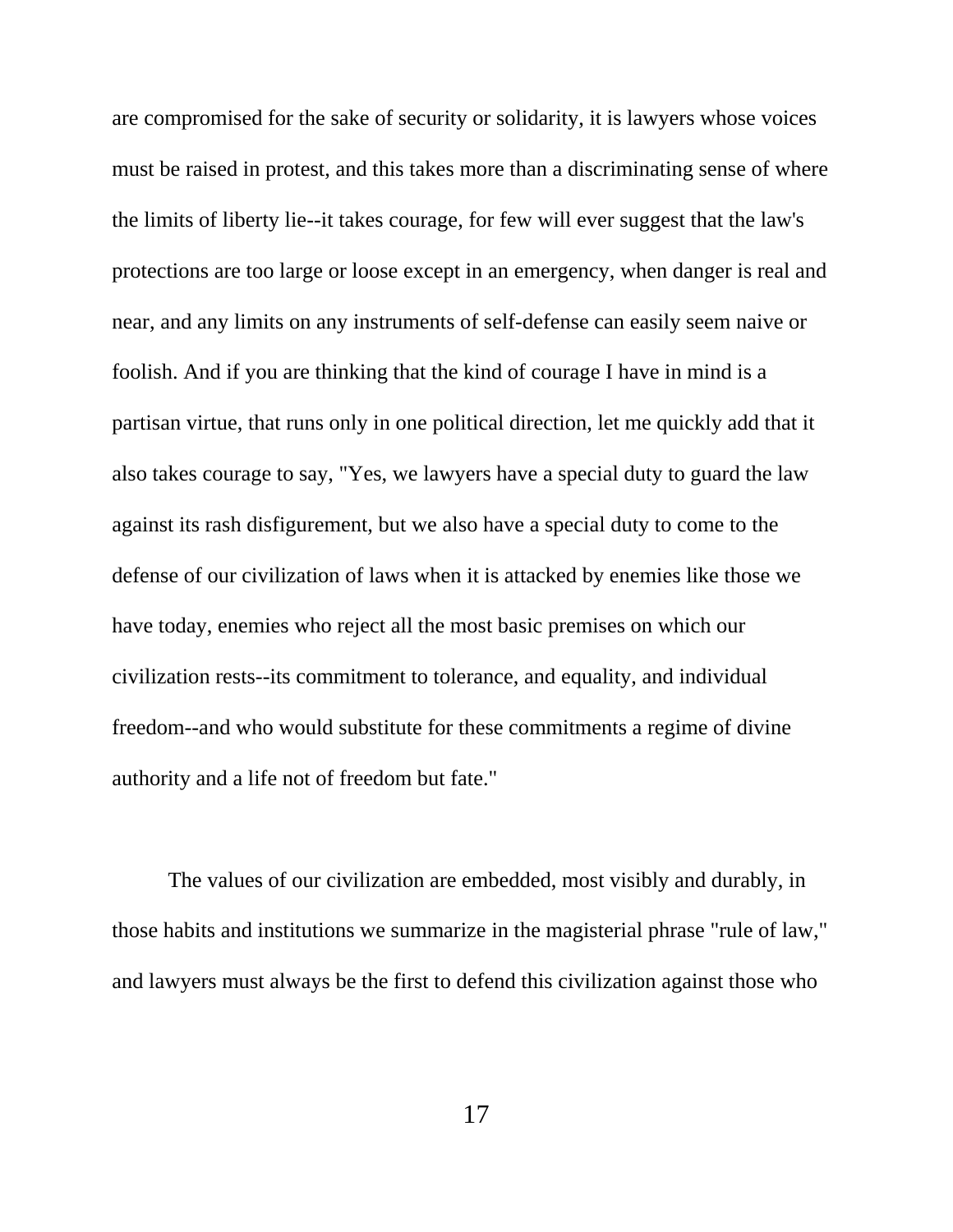are compromised for the sake of security or solidarity, it is lawyers whose voices must be raised in protest, and this takes more than a discriminating sense of where the limits of liberty lie--it takes courage, for few will ever suggest that the law's protections are too large or loose except in an emergency, when danger is real and near, and any limits on any instruments of self-defense can easily seem naive or foolish. And if you are thinking that the kind of courage I have in mind is a partisan virtue, that runs only in one political direction, let me quickly add that it also takes courage to say, "Yes, we lawyers have a special duty to guard the law against its rash disfigurement, but we also have a special duty to come to the defense of our civilization of laws when it is attacked by enemies like those we have today, enemies who reject all the most basic premises on which our civilization rests--its commitment to tolerance, and equality, and individual freedom--and who would substitute for these commitments a regime of divine authority and a life not of freedom but fate."

The values of our civilization are embedded, most visibly and durably, in those habits and institutions we summarize in the magisterial phrase "rule of law," and lawyers must always be the first to defend this civilization against those who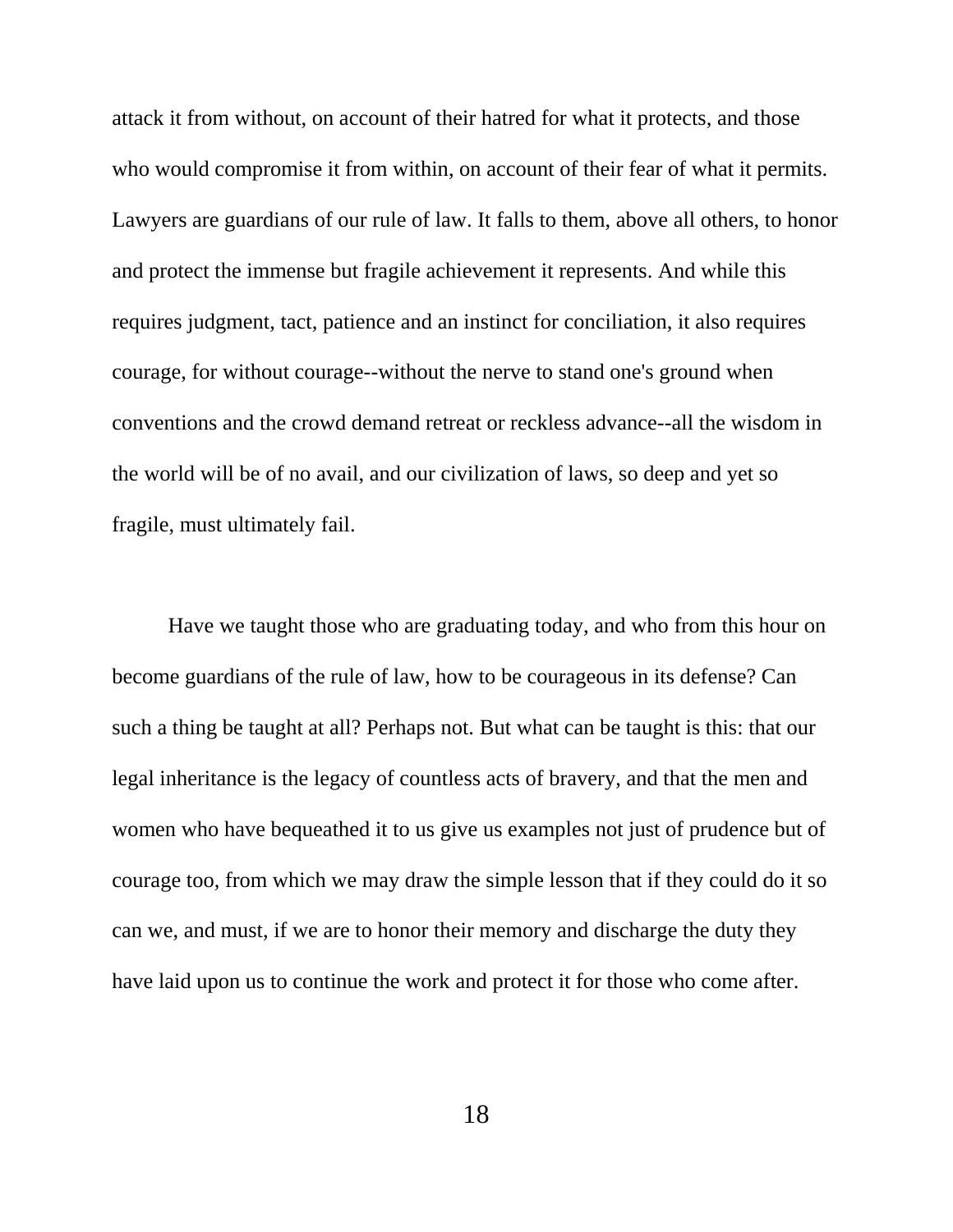attack it from without, on account of their hatred for what it protects, and those who would compromise it from within, on account of their fear of what it permits. Lawyers are guardians of our rule of law. It falls to them, above all others, to honor and protect the immense but fragile achievement it represents. And while this requires judgment, tact, patience and an instinct for conciliation, it also requires courage, for without courage--without the nerve to stand one's ground when conventions and the crowd demand retreat or reckless advance--all the wisdom in the world will be of no avail, and our civilization of laws, so deep and yet so fragile, must ultimately fail.

Have we taught those who are graduating today, and who from this hour on become guardians of the rule of law, how to be courageous in its defense? Can such a thing be taught at all? Perhaps not. But what can be taught is this: that our legal inheritance is the legacy of countless acts of bravery, and that the men and women who have bequeathed it to us give us examples not just of prudence but of courage too, from which we may draw the simple lesson that if they could do it so can we, and must, if we are to honor their memory and discharge the duty they have laid upon us to continue the work and protect it for those who come after.